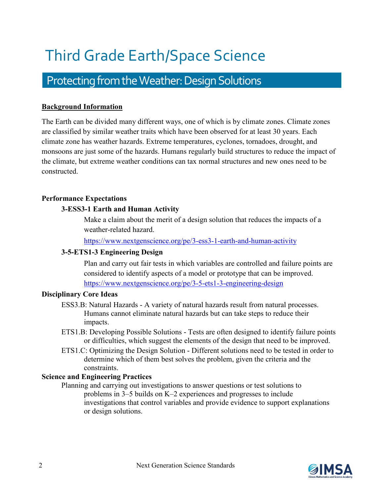# Third Grade Earth/Space Science

# Protecting from the Weather: Design Solutions

# **Background Information**

The Earth can be divided many different ways, one of which is by climate zones. Climate zones are classified by similar weather traits which have been observed for at least 30 years. Each climate zone has weather hazards. Extreme temperatures, cyclones, tornadoes, drought, and monsoons are just some of the hazards. Humans regularly build structures to reduce the impact of the climate, but extreme weather conditions can tax normal structures and new ones need to be constructed.

# **Performance Expectations**

# **3-ESS3-1 Earth and Human Activity**

Make a claim about the merit of a design solution that reduces the impacts of a weather-related hazard.

<https://www.nextgenscience.org/pe/3-ess3-1-earth-and-human-activity>

# **3-5-ETS1-3 Engineering Design**

Plan and carry out fair tests in which variables are controlled and failure points are considered to identify aspects of a model or prototype that can be improved. <https://www.nextgenscience.org/pe/3-5-ets1-3-engineering-design>

# **Disciplinary Core Ideas**

- ESS3.B: Natural Hazards A variety of natural hazards result from natural processes. Humans cannot eliminate natural hazards but can take steps to reduce their impacts.
- ETS1.B: Developing Possible Solutions Tests are often designed to identify failure points or difficulties, which suggest the elements of the design that need to be improved.
- ETS1.C: Optimizing the Design Solution Different solutions need to be tested in order to determine which of them best solves the problem, given the criteria and the constraints.

# **Science and Engineering Practices**

Planning and carrying out investigations to answer questions or test solutions to problems in 3–5 builds on K–2 experiences and progresses to include investigations that control variables and provide evidence to support explanations or design solutions.

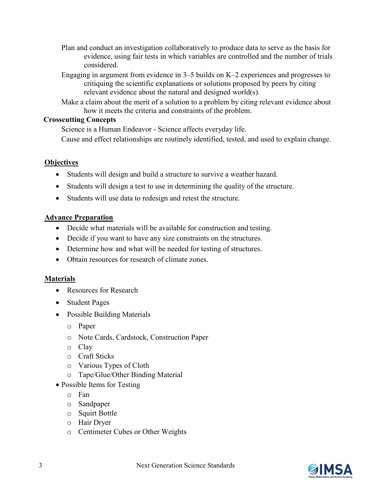- Plan and conduct an investigation collaboratively to produce data to serve as the basis for evidence, using fair tests in which variables are controlled and the number of trials considered.
- Engaging in argument from evidence in 3–5 builds on K–2 experiences and progresses to critiquing the scientific explanations or solutions proposed by peers by citing relevant evidence about the natural and designed world(s).
- Make a claim about the merit of a solution to a problem by citing relevant evidence about how it meets the criteria and constraints of the problem.

#### **Crosscutting Concepts**

Science is a Human Endeavor - Science affects everyday life.

Cause and effect relationships are routinely identified, tested, and used to explain change.

# **Objectives**

- Students will design and build a structure to survive a weather hazard.
- Students will design a test to use in determining the quality of the structure.
- Students will use data to redesign and retest the structure.

# **Advance Preparation**

- Decide what materials will be available for construction and testing.
- Decide if you want to have any size constraints on the structures.
- Determine how and what will be needed for testing of structures.
- Obtain resources for research of climate zones.

# **Materials**

- Resources for Research
- Student Pages
- Possible Building Materials
	- o Paper
	- o Note Cards, Cardstock, Construction Paper
	- o Clay
	- o Craft Sticks
	- o Various Types of Cloth
	- o Tape/Glue/Other Binding Material
- Possible Items for Testing
	- o Fan
	- o Sandpaper
	- o Squirt Bottle
	- o Hair Dryer
	- o Centimeter Cubes or Other Weights

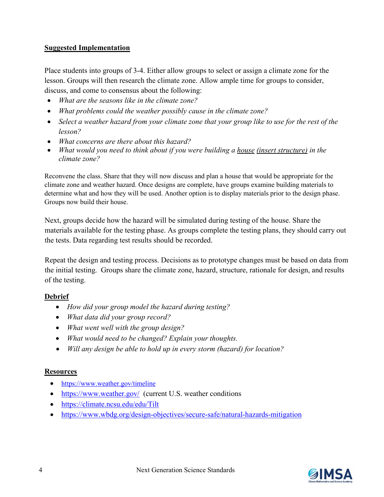# **Suggested Implementation**

Place students into groups of 3-4. Either allow groups to select or assign a climate zone for the lesson. Groups will then research the climate zone. Allow ample time for groups to consider, discuss, and come to consensus about the following:

- *What are the seasons like in the climate zone?*
- *What problems could the weather possibly cause in the climate zone?*
- *Select a weather hazard from your climate zone that your group like to use for the rest of the lesson?*
- *What concerns are there about this hazard?*
- *What would you need to think about if you were building a house (insert structure) in the climate zone?*

Reconvene the class. Share that they will now discuss and plan a house that would be appropriate for the climate zone and weather hazard. Once designs are complete, have groups examine building materials to determine what and how they will be used. Another option is to display materials prior to the design phase. Groups now build their house.

Next, groups decide how the hazard will be simulated during testing of the house. Share the materials available for the testing phase. As groups complete the testing plans, they should carry out the tests. Data regarding test results should be recorded.

Repeat the design and testing process. Decisions as to prototype changes must be based on data from the initial testing. Groups share the climate zone, hazard, structure, rationale for design, and results of the testing.

# **Debrief**

- *How did your group model the hazard during testing?*
- *What data did your group record?*
- *What went well with the group design?*
- *What would need to be changed? Explain your thoughts.*
- *Will any design be able to hold up in every storm (hazard) for location?*

# **Resources**

- <https://www.weather.gov/timeline>
- <https://www.weather.gov/>(current U.S. weather conditions
- <https://climate.ncsu.edu/edu/Tilt>
- <https://www.wbdg.org/design-objectives/secure-safe/natural-hazards-mitigation>